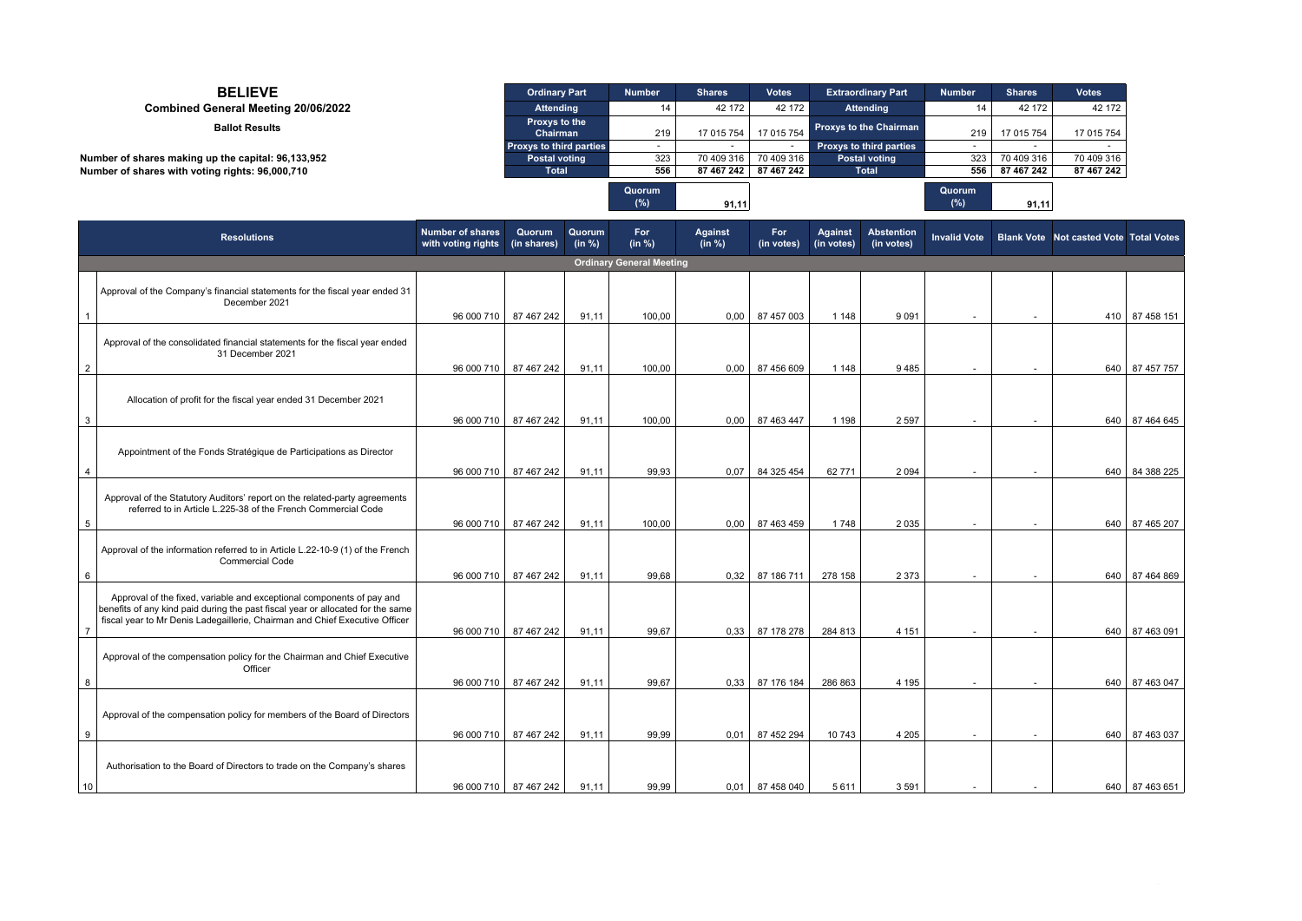| <b>BELIEVE</b>                                     | <b>Ordinary Part</b>           | <b>Number</b>    | <b>Shares</b> | <b>Votes</b> | <b>Extraordinary Part</b>      | <b>Number</b> | <b>Shares</b> | <b>Votes</b> |
|----------------------------------------------------|--------------------------------|------------------|---------------|--------------|--------------------------------|---------------|---------------|--------------|
| Combined General Meeting 20/06/2022                | <b>Attending</b>               | 14               | 42 172        | 42 172       | <b>Attending</b>               | 14            | 42 172        | 42 172       |
| <b>Ballot Results</b>                              | Proxys to the<br>Chairman      | 219              | 17 015 754    | 17 015 754   | <b>Proxys to the Chairman</b>  | 219           | 17 015 754    | 17 015 754   |
|                                                    | <b>Proxys to third parties</b> |                  |               |              | <b>Proxys to third parties</b> |               |               |              |
| Number of shares making up the capital: 96,133,952 | <b>Postal voting</b>           | 323              | 70 409 316    | 70 409 316   | <b>Postal voting</b>           | 323           | 70 409 316    | 70 409 316   |
| Number of shares with voting rights: 96,000,710    | Total                          | 556              | 87 467 242    | 87 467 242   | Total                          | 556           | 87 467 242    | 87 467 242   |
|                                                    |                                | Quorum<br>$(\%)$ | 91,11         |              |                                | Quorum<br>(%) | 91,11         |              |

|                | <b>Resolutions</b>                                                                                                                                                                                                                      | <b>Number of shares</b><br>with voting rights | Quorum<br>(in shares) | Quorum<br>(in %) | For<br>(in %) | <b>Against</b><br>(in %) | For<br>(in votes) | <b>Against</b><br>(in votes) | <b>Abstention</b><br>(in votes) |                          |                          | Invalid Vote   Blank Vote   Not casted Vote   Total Votes |                |
|----------------|-----------------------------------------------------------------------------------------------------------------------------------------------------------------------------------------------------------------------------------------|-----------------------------------------------|-----------------------|------------------|---------------|--------------------------|-------------------|------------------------------|---------------------------------|--------------------------|--------------------------|-----------------------------------------------------------|----------------|
|                | <b>Ordinary General Meeting</b>                                                                                                                                                                                                         |                                               |                       |                  |               |                          |                   |                              |                                 |                          |                          |                                                           |                |
|                | Approval of the Company's financial statements for the fiscal year ended 31<br>December 2021                                                                                                                                            | 96 000 710                                    | 87 467 242            | 91.11            | 100.00        | 0.00                     | 87 457 003        | 1 1 4 8                      | 9 0 9 1                         |                          | $\sim$                   |                                                           | 410 87 458 151 |
| $\overline{2}$ | Approval of the consolidated financial statements for the fiscal year ended<br>31 December 2021                                                                                                                                         | 96 000 710                                    | 87 467 242            | 91,11            | 100.00        | 0.00                     | 87 456 609        | 1 1 4 8                      | 9485                            | $\overline{a}$           | $\overline{\phantom{a}}$ |                                                           | 640 87 457 757 |
| 3              | Allocation of profit for the fiscal year ended 31 December 2021                                                                                                                                                                         | 96 000 710                                    | 87 467 242            | 91,11            | 100,00        | 0,00                     | 87 463 447        | 1 1 9 8                      | 2 5 9 7                         |                          | $\sim$                   | 640                                                       | 87 464 645     |
| $\overline{4}$ | Appointment of the Fonds Stratégique de Participations as Director                                                                                                                                                                      | 96 000 710                                    | 87 467 242            | 91,11            | 99.93         | 0.07                     | 84 325 454        | 62771                        | 2 0 9 4                         |                          |                          |                                                           | 640 84 388 225 |
| 5              | Approval of the Statutory Auditors' report on the related-party agreements<br>referred to in Article L.225-38 of the French Commercial Code                                                                                             | 96 000 710                                    | 87 467 242            | 91,11            | 100.00        | 0.00                     | 87 463 459        | 1748                         | 2 0 3 5                         |                          | $\sim$                   | 640                                                       | 87 465 207     |
| 6              | Approval of the information referred to in Article L.22-10-9 (1) of the French<br><b>Commercial Code</b>                                                                                                                                | 96 000 710                                    | 87 467 242            | 91,11            | 99.68         | 0.32                     | 87 186 711        | 278 158                      | 2 3 7 3                         | $\overline{\phantom{a}}$ | $\overline{\phantom{a}}$ |                                                           | 640 87 464 869 |
| $\overline{7}$ | Approval of the fixed, variable and exceptional components of pay and<br>benefits of any kind paid during the past fiscal year or allocated for the same<br>fiscal year to Mr Denis Ladegaillerie, Chairman and Chief Executive Officer | 96 000 710                                    | 87 467 242            | 91,11            | 99.67         | 0.33                     | 87 178 278        | 284 813                      | 4 1 5 1                         |                          |                          |                                                           | 640 87 463 091 |
|                | Approval of the compensation policy for the Chairman and Chief Executive<br>Officer                                                                                                                                                     |                                               |                       |                  |               |                          |                   |                              |                                 |                          |                          |                                                           |                |
| 8              |                                                                                                                                                                                                                                         | 96 000 710                                    | 87 467 242            | 91,11            | 99.67         | 0.33                     | 87 176 184        | 286 863                      | 4 1 9 5                         | $\overline{\phantom{a}}$ | $\sim$                   |                                                           | 640 87 463 047 |
| 9              | Approval of the compensation policy for members of the Board of Directors                                                                                                                                                               | 96 000 710                                    | 87 467 242            | 91,11            | 99,99         | 0.01                     | 87 452 294        | 10743                        | 4 2 0 5                         |                          | $\sim$                   |                                                           | 640 87 463 037 |
| 10             | Authorisation to the Board of Directors to trade on the Company's shares                                                                                                                                                                | 96 000 710                                    | 87 467 242            | 91.11            | 99.99         | 0.01                     | 87 458 040        | 5611                         | 3591                            |                          | $\sim$                   |                                                           | 640 87 463 651 |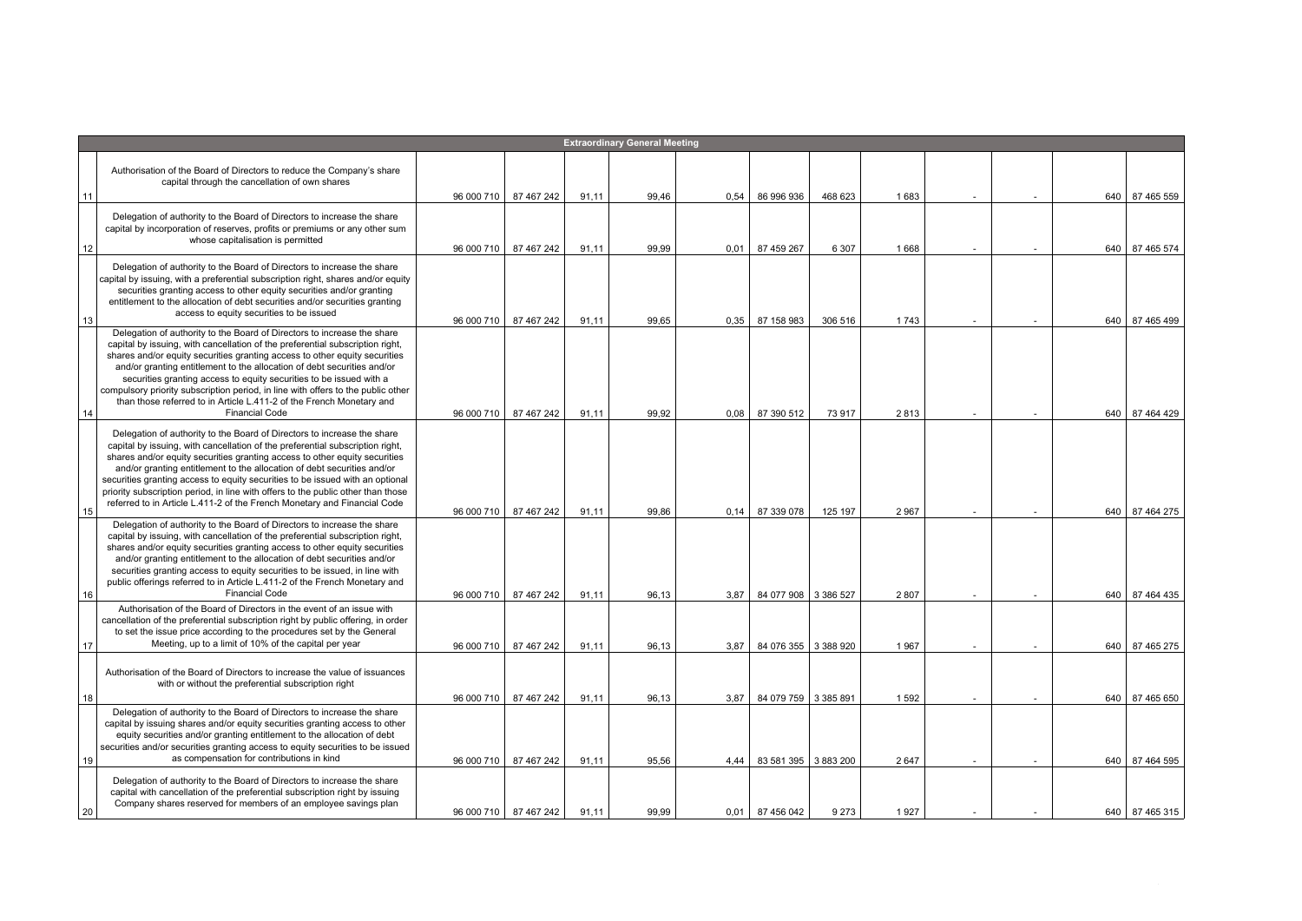|    |                                                                                                                                                                                                                                                                                                                                                                                                                                                                                                                                                                               |            |                         |       | <b>Extraordinary General Meeting</b> |      |                      |         |      |  |     |                |
|----|-------------------------------------------------------------------------------------------------------------------------------------------------------------------------------------------------------------------------------------------------------------------------------------------------------------------------------------------------------------------------------------------------------------------------------------------------------------------------------------------------------------------------------------------------------------------------------|------------|-------------------------|-------|--------------------------------------|------|----------------------|---------|------|--|-----|----------------|
|    |                                                                                                                                                                                                                                                                                                                                                                                                                                                                                                                                                                               |            |                         |       |                                      |      |                      |         |      |  |     |                |
|    | Authorisation of the Board of Directors to reduce the Company's share<br>capital through the cancellation of own shares                                                                                                                                                                                                                                                                                                                                                                                                                                                       |            |                         |       |                                      |      |                      |         |      |  |     |                |
| 11 |                                                                                                                                                                                                                                                                                                                                                                                                                                                                                                                                                                               | 96 000 710 | 87 467 242              | 91,11 | 99,46                                | 0,54 | 86 996 936           | 468 623 | 1683 |  |     | 640 87 465 559 |
| 12 | Delegation of authority to the Board of Directors to increase the share<br>capital by incorporation of reserves, profits or premiums or any other sum<br>whose capitalisation is permitted                                                                                                                                                                                                                                                                                                                                                                                    | 96 000 710 | 87 467 242              | 91.11 | 99.99                                | 0.01 | 87 459 267           | 6 3 0 7 | 1668 |  |     | 640 87 465 574 |
| 13 | Delegation of authority to the Board of Directors to increase the share<br>capital by issuing, with a preferential subscription right, shares and/or equity<br>securities granting access to other equity securities and/or granting<br>entitlement to the allocation of debt securities and/or securities granting<br>access to equity securities to be issued                                                                                                                                                                                                               | 96 000 710 | 87 467 242              | 91,11 | 99,65                                | 0.35 | 87 158 983           | 306 516 | 1743 |  | 640 | 87 465 499     |
| 14 | Delegation of authority to the Board of Directors to increase the share<br>capital by issuing, with cancellation of the preferential subscription right,<br>shares and/or equity securities granting access to other equity securities<br>and/or granting entitlement to the allocation of debt securities and/or<br>securities granting access to equity securities to be issued with a<br>compulsory priority subscription period, in line with offers to the public other<br>than those referred to in Article L.411-2 of the French Monetary and<br><b>Financial Code</b> | 96 000 710 | 87 467 242              | 91,11 | 99,92                                | 0,08 | 87 390 512           | 73 917  | 2813 |  |     | 640 87 464 429 |
|    | Delegation of authority to the Board of Directors to increase the share<br>capital by issuing, with cancellation of the preferential subscription right,<br>shares and/or equity securities granting access to other equity securities<br>and/or granting entitlement to the allocation of debt securities and/or<br>securities granting access to equity securities to be issued with an optional<br>priority subscription period, in line with offers to the public other than those<br>referred to in Article L.411-2 of the French Monetary and Financial Code            |            |                         |       |                                      |      |                      |         |      |  |     |                |
| 15 |                                                                                                                                                                                                                                                                                                                                                                                                                                                                                                                                                                               | 96 000 710 | 87 467 242              | 91.11 | 99,86                                | 0.14 | 87 339 078           | 125 197 | 2967 |  |     | 640 87 464 275 |
|    | Delegation of authority to the Board of Directors to increase the share<br>capital by issuing, with cancellation of the preferential subscription right,<br>shares and/or equity securities granting access to other equity securities<br>and/or granting entitlement to the allocation of debt securities and/or<br>securities granting access to equity securities to be issued, in line with<br>public offerings referred to in Article L.411-2 of the French Monetary and<br><b>Financial Code</b>                                                                        |            |                         |       |                                      |      |                      |         |      |  |     |                |
| 16 | Authorisation of the Board of Directors in the event of an issue with                                                                                                                                                                                                                                                                                                                                                                                                                                                                                                         | 96 000 710 | 87 467 242              | 91.11 | 96,13                                | 3.87 | 84 077 908 3 386 527 |         | 2807 |  | 640 | 87 464 435     |
| 17 | cancellation of the preferential subscription right by public offering, in order<br>to set the issue price according to the procedures set by the General<br>Meeting, up to a limit of 10% of the capital per year                                                                                                                                                                                                                                                                                                                                                            | 96 000 710 | 87 467 242              | 91,11 | 96,13                                | 3.87 | 84 076 355 3 388 920 |         | 1967 |  | 640 | 87 465 275     |
|    | Authorisation of the Board of Directors to increase the value of issuances<br>with or without the preferential subscription right                                                                                                                                                                                                                                                                                                                                                                                                                                             |            |                         |       |                                      |      |                      |         |      |  |     |                |
| 18 |                                                                                                                                                                                                                                                                                                                                                                                                                                                                                                                                                                               | 96 000 710 | 87 467 242              | 91,11 | 96,13                                | 3,87 | 84 079 759 3 385 891 |         | 1592 |  |     | 640 87 465 650 |
| 19 | Delegation of authority to the Board of Directors to increase the share<br>capital by issuing shares and/or equity securities granting access to other<br>equity securities and/or granting entitlement to the allocation of debt<br>securities and/or securities granting access to equity securities to be issued<br>as compensation for contributions in kind                                                                                                                                                                                                              | 96 000 710 | 87 467 242              | 91,11 | 95,56                                | 4.44 | 83 581 395 3 883 200 |         | 2647 |  | 640 | 87 464 595     |
| 20 | Delegation of authority to the Board of Directors to increase the share<br>capital with cancellation of the preferential subscription right by issuing<br>Company shares reserved for members of an employee savings plan                                                                                                                                                                                                                                                                                                                                                     |            | 96 000 710   87 467 242 | 91,11 | 99,99                                | 0,01 | 87 456 042           | 9 2 7 3 | 1927 |  |     | 640 87 465 315 |